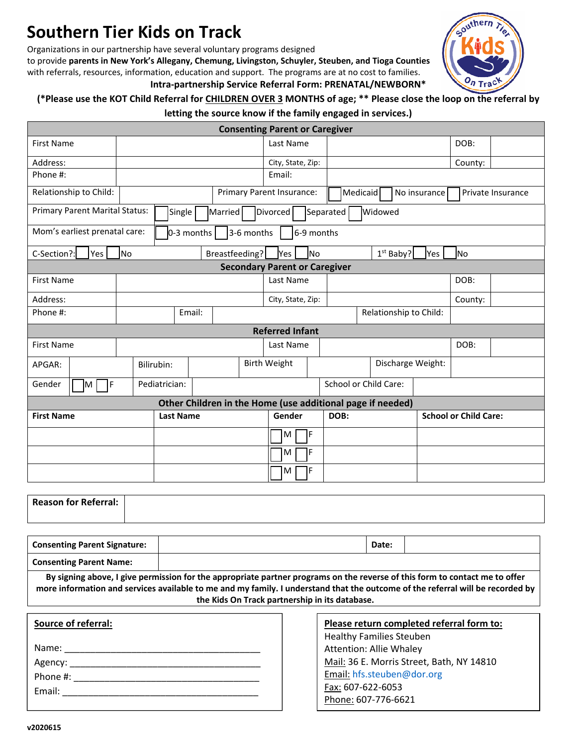# **Southern Tier Kids on Track**

Organizations in our partnership have several voluntary programs designed

to provide **parents in New York's Allegany, Chemung, Livingston, Schuyler, Steuben, and Tioga Counties** with referrals, resources, information, education and support. The programs are at no cost to families. **Intra-partnership Service Referral Form: PRENATAL/NEWBORN\***



## **(\*Please use the KOT Child Referral for CHILDREN OVER 3 MONTHS of age; \*\* Please close the loop on the referral by letting the source know if the family engaged in services.)**

| <b>Consenting Parent or Caregiver</b>                                                          |                                              |  |  |                           |                        |                   |                                               |                              |           |         |  |
|------------------------------------------------------------------------------------------------|----------------------------------------------|--|--|---------------------------|------------------------|-------------------|-----------------------------------------------|------------------------------|-----------|---------|--|
| <b>First Name</b>                                                                              |                                              |  |  |                           | Last Name              |                   |                                               |                              |           | DOB:    |  |
| Address:                                                                                       |                                              |  |  |                           | City, State, Zip:      |                   |                                               |                              |           | County: |  |
| Phone #:                                                                                       |                                              |  |  | Email:                    |                        |                   |                                               |                              |           |         |  |
| Relationship to Child:                                                                         |                                              |  |  | Primary Parent Insurance: |                        |                   | Medicaid<br>No insurance<br>Private Insurance |                              |           |         |  |
| <b>Primary Parent Marital Status:</b><br>Single<br>Married<br>Divorced<br>Separated<br>Widowed |                                              |  |  |                           |                        |                   |                                               |                              |           |         |  |
| Mom's earliest prenatal care:                                                                  | $0-3$ months $ $<br>3-6 months<br>6-9 months |  |  |                           |                        |                   |                                               |                              |           |         |  |
| C-Section?:<br>Yes                                                                             | <b>No</b><br>Breastfeeding?                  |  |  | Yes                       | <b>No</b>              | $1st$ Baby?       |                                               | Yes                          | <b>No</b> |         |  |
| <b>Secondary Parent or Caregiver</b>                                                           |                                              |  |  |                           |                        |                   |                                               |                              |           |         |  |
| <b>First Name</b>                                                                              |                                              |  |  | Last Name                 |                        |                   |                                               | DOB:                         |           |         |  |
| Address:                                                                                       |                                              |  |  |                           | City, State, Zip:      |                   |                                               |                              | County:   |         |  |
| Phone #:                                                                                       | Email:                                       |  |  | Relationship to Child:    |                        |                   |                                               |                              |           |         |  |
|                                                                                                |                                              |  |  |                           | <b>Referred Infant</b> |                   |                                               |                              |           |         |  |
| <b>First Name</b>                                                                              |                                              |  |  | Last Name                 |                        |                   |                                               |                              | DOB:      |         |  |
| APGAR:                                                                                         | Bilirubin:                                   |  |  | <b>Birth Weight</b>       |                        | Discharge Weight: |                                               |                              |           |         |  |
| ٦F<br>Gender<br>Iм                                                                             | Pediatrician:                                |  |  |                           |                        |                   | School or Child Care:                         |                              |           |         |  |
| Other Children in the Home (use additional page if needed)                                     |                                              |  |  |                           |                        |                   |                                               |                              |           |         |  |
| <b>First Name</b>                                                                              | <b>Last Name</b>                             |  |  | Gender                    |                        | DOB:              |                                               | <b>School or Child Care:</b> |           |         |  |
|                                                                                                |                                              |  |  |                           | M                      | F                 |                                               |                              |           |         |  |
|                                                                                                |                                              |  |  |                           | M                      | F                 |                                               |                              |           |         |  |
|                                                                                                |                                              |  |  |                           | M                      | F                 |                                               |                              |           |         |  |

| <b>Reason for Referral:</b> |  |
|-----------------------------|--|
|                             |  |

| <b>Consenting Parent Signature:</b> | Date: |  |
|-------------------------------------|-------|--|
| <b>Consenting Parent Name:</b>      |       |  |

**By signing above, I give permission for the appropriate partner programs on the reverse of this form to contact me to offer more information and services available to me and my family. I understand that the outcome of the referral will be recorded by the Kids On Track partnership in its database.**

| Source of referral: |  |  |
|---------------------|--|--|
|                     |  |  |
|                     |  |  |
| Phone #:            |  |  |
| Email: ________     |  |  |
|                     |  |  |

| Please return completed referral form to: |  |  |  |
|-------------------------------------------|--|--|--|
| <b>Healthy Families Steuben</b>           |  |  |  |
| <b>Attention: Allie Whaley</b>            |  |  |  |
| Mail: 36 E. Morris Street, Bath, NY 14810 |  |  |  |
| Email: hfs.steuben@dor.org                |  |  |  |
| Fax: 607-622-6053                         |  |  |  |
| Phone: 607-776-6621                       |  |  |  |